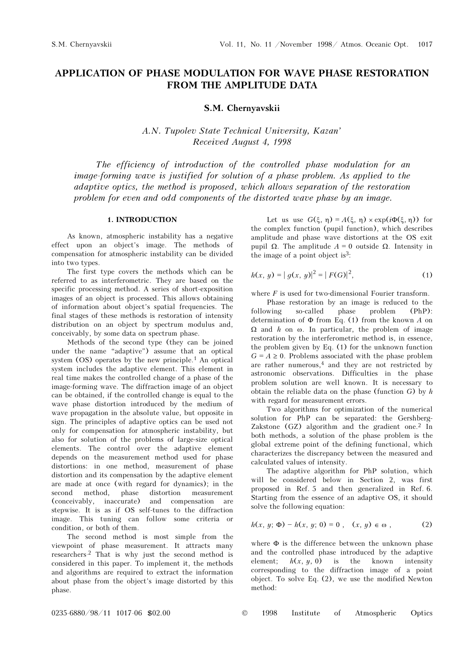# APPLICATION OF PHASE MODULATION FOR WAVE PHASE RESTORATION FROM THE AMPLITUDE DATA

S.M. Chernyavskii

A.N. Tupolev State Technical University, Kazan' Received August 4, 1998

The efficiency of introduction of the controlled phase modulation for an image-forming wave is justified for solution of a phase problem. As applied to the adaptive optics, the method is proposed, which allows separation of the restoration problem for even and odd components of the distorted wave phase by an image.

## 1. INTRODUCTION

As known, atmospheric instability has a negative effect upon an object's image. The methods of compensation for atmospheric instability can be divided into two types.

The first type covers the methods which can be referred to as interferometric. They are based on the specific processing method. A series of short-exposition images of an object is processed. This allows obtaining of information about object's spatial frequencies. The final stages of these methods is restoration of intensity distribution on an object by spectrum modulus and, conceivably, by some data on spectrum phase.

Methods of the second type (they can be joined under the name "adaptive") assume that an optical system (OS) operates by the new principle.1 An optical system includes the adaptive element. This element in real time makes the controlled change of a phase of the image-forming wave. The diffraction image of an object can be obtained, if the controlled change is equal to the wave phase distortion introduced by the medium of wave propagation in the absolute value, but opposite in sign. The principles of adaptive optics can be used not only for compensation for atmospheric instability, but also for solution of the problems of large-size optical elements. The control over the adaptive element depends on the measurement method used for phase distortions: in one method, measurement of phase distortion and its compensation by the adaptive element are made at once (with regard for dynamics); in the second method, phase distortion measurement (conceivably, inaccurate) and compensation are stepwise. It is as if OS self-tunes to the diffraction image. This tuning can follow some criteria or condition, or both of them.

The second method is most simple from the viewpoint of phase measurement. It attracts many researchers.2 That is why just the second method is considered in this paper. To implement it, the methods and algorithms are required to extract the information about phase from the object's image distorted by this phase.

Let us use  $G(\xi, \eta) = A(\xi, \eta) \times \exp(i\Phi(\xi, \eta))$  for the complex function (pupil function), which describes amplitude and phase wave distortions at the OS exit pupil  $Ω$ . The amplitude  $A = 0$  outside  $Ω$ . Intensity in the image of a point object is $3$ :

$$
h(x, y) = |g(x, y)|^2 = |F(G)|^2,
$$
\n(1)

where  $F$  is used for two-dimensional Fourier transform.

Phase restoration by an image is reduced to the following so-called phase problem (PhP): determination of  $\Phi$  from Eq. (1) from the known A on  $Ω$  and *h* on  $ω$ . In particular, the problem of image restoration by the interferometric method is, in essence, the problem given by Eq. (1) for the unknown function  $G = A \ge 0$ . Problems associated with the phase problem are rather numerous, $4$  and they are not restricted by astronomic observations. Difficulties in the phase problem solution are well known. It is necessary to obtain the reliable data on the phase (function  $G$ ) by  $h$ with regard for measurement errors.

Two algorithms for optimization of the numerical solution for PhP can be separated: the Gershberg-Zakstone (GZ) algorithm and the gradient one.<sup>2</sup> In both methods, a solution of the phase problem is the global extreme point of the defining functional, which characterizes the discrepancy between the measured and calculated values of intensity.

The adaptive algorithm for PhP solution, which will be considered below in Section 2, was first proposed in Ref. 5 and then generalized in Ref. 6. Starting from the essence of an adaptive OS, it should solve the following equation:

$$
h(x, y; \Phi) - h(x, y; 0) = 0, (x, y) \in \omega,
$$
 (2)

where Φ is the difference between the unknown phase and the controlled phase introduced by the adaptive element;  $h(x, y, 0)$  is the known intensity corresponding to the diffraction image of a point object. To solve Eq. (2), we use the modified Newton method: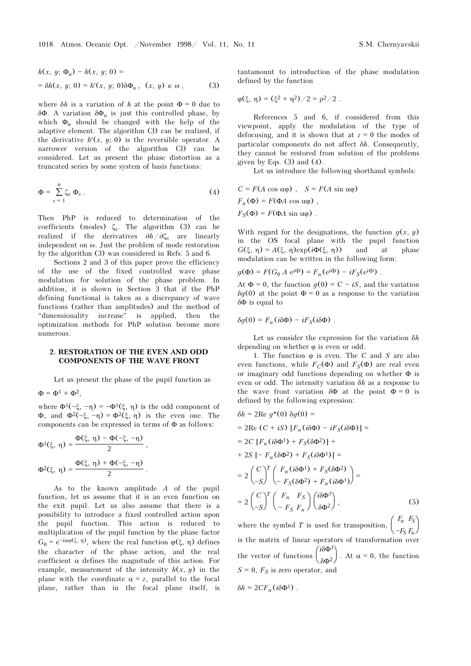$$
h(x, y; \Phi_n) - h(x, y; 0) =
$$
  
=  $\delta h(x, y; 0) = h'(x, y; 0) \delta \Phi_n$ ,  $(x, y) \in \omega$ , (3)

where  $\delta h$  is a variation of h at the point  $\Phi = 0$  due to  $\delta\Phi$ . A variation  $\delta\Phi_n$  is just this controlled phase, by which  $\Phi$  should be changed with the help of the which  $\Phi_n$  should be changed with the help of the adoptive element. The algorithm  $(3)$  can be realized if adaptive element. The algorithm (3) can be realized, if the derivative  $h'(x, y; 0)$  is the reversible operator. A narrower version of the algorithm (3) can be considered. Let us present the phase distortion as a truncated series by some system of basis functions:

$$
\Phi = \sum_{s=1}^{n} \zeta_s \, \Phi_s \,. \tag{4}
$$

Then PhP is reduced to determination of the coefficients (modes)  $\zeta_s$ . The algorithm (3) can be realized if the derivatives  $\frac{\partial h}{\partial \zeta}$  are linearly realized if the derivatives  $\partial h/\partial \zeta_s$  are linearly independent on ω. Just the problem of mode restoration by the algorithm (3) was considered in Refs. 5 and 6.

Sections 2 and 3 of this paper prove the efficiency of the use of the fixed controlled wave phase modulation for solution of the phase problem. In addition, it is shown in Section 3 that if the PhP defining functional is taken as a discrepancy of wave functions (rather than amplitudes) and the method of "dimensionality increase" is applied, then the optimization methods for PhP solution become more numerous.

### 2. RESTORATION OF THE EVEN AND ODD COMPONENTS OF THE WAVE FRONT

Let us present the phase of the pupil function as

 $\Phi = \Phi^1 + \Phi^2,$ 

where  $\Phi^1(-\xi, -\eta) = -\Phi^1(\xi, \eta)$  is the odd component of Φ, and  $Φ^2(-\xi, -η) = Φ^2(\xi, η)$  is the even one. The components can be expressed in terms of Φ as follows:

$$
\Phi^{1}(\xi, \eta) = \frac{\Phi(\xi, \eta) - \Phi(-\xi, -\eta)}{2},
$$
  

$$
\Phi^{2}(\xi, \eta) = \frac{\Phi(\xi, \eta) + \Phi(-\xi, -\eta)}{2}.
$$

As to the known amplitude A of the pupil function, let us assume that it is an even function on the exit pupil. Let us also assume that there is a possibility to introduce a fixed controlled action upon the pupil function. This action is reduced to multiplication of the pupil function by the phase factor  $G_{\theta} = e^{-i\alpha\varphi(\xi, \eta)}$ , where the real function  $\varphi(\xi, \eta)$  defines the character of the phase action, and the real coefficient  $\alpha$  defines the magnitude of this action. For example, measurement of the intensity  $h(x, y)$  in the plane with the coordinate  $\alpha = z$ , parallel to the focal plane, rather than in the focal plane itself, is

tantamount to introduction of the phase modulation defined by the function

$$
\varphi(\xi, \eta) = (\xi^2 + \eta^2)/2 = \rho^2/2.
$$

References 5 and 6, if considered from this viewpoint, apply the modulation of the type of defocusing, and it is shown that at  $z = 0$  the modes of particular components do not affect  $\delta h$ . Consequently, they cannot be restored from solution of the problems given by Eqs.  $(3)$  and  $(4)$ .

Let us introduce the following shorthand symbols:

$$
C = F(A \cos \alpha \varphi), \quad S = F(A \sin \alpha \varphi)
$$
  
F<sub>n</sub>( $\Phi$ ) = F( $\Phi$ A cos  $\alpha \varphi$ ),  
F<sub>S</sub>( $\Phi$ ) = F( $\Phi$ A sin  $\alpha \varphi$ ).

With regard for the designations, the function  $q(x, y)$ in the OS focal plane with the pupil function  $G(\xi, \eta) = A(\xi, \eta)exp(i\Phi(\xi, \eta))$  and at phase modulation can be written in the following form:

$$
g(\Phi) = F(G_0 A e^{i\Phi}) = F_n(e^{i\Phi}) - iF_S(e^{i\Phi}).
$$

At  $\Phi = 0$ , the function  $g(0) = C - iS$ , and the variation  $\delta q(0)$  at the point  $\Phi = 0$  as a response to the variation δΦ is equal to

$$
\delta g(0) = F_n(i\delta\Phi) - iF_S(i\delta\Phi) .
$$

Let us consider the expression for the variation  $\delta h$ depending on whether  $\varphi$  is even or odd.

1. The function  $\varphi$  is even. The C and S are also even functions, while  $F_C(\Phi)$  and  $F_S(\Phi)$  are real even or imaginary odd functions depending on whether Φ is even or odd. The intensity variation  $\delta h$  as a response to the wave front variation  $\delta \Phi$  at the point  $\Phi = 0$  is defined by the following expression:

$$
\delta h = 2 \text{Re } g^*(0) \delta g(0) =
$$
  
\n
$$
= 2 \text{Re } (C + iS) [F_n(i\delta \Phi) - iF_S(i\delta \Phi)] =
$$
  
\n
$$
= 2C [F_n(i\delta \Phi^1) + F_S(\delta \Phi^2)] +
$$
  
\n
$$
+ 2S [-F_n(\delta \Phi^2) + F_S(i\delta \Phi^1)] =
$$
  
\n
$$
= 2 \begin{pmatrix} C \\ -S \end{pmatrix}^T \begin{pmatrix} F_n(i\delta \Phi^1) + F_S(\delta \Phi^2) \\ -F_S(\delta \Phi^2) + F_n(i\delta \Phi^1) \end{pmatrix} =
$$
  
\n
$$
= 2 \begin{pmatrix} C \\ -S \end{pmatrix}^T \begin{pmatrix} F_n & F_S \\ -F_S & F_n \end{pmatrix} \begin{pmatrix} i\delta \Phi^1 \\ \delta \Phi^2 \end{pmatrix},
$$
  
\n(5)

where the symbol T is used for transposition,  $\begin{pmatrix} F_n & F_S \\ -F_S & F_n \end{pmatrix}$  $-F_S F_n$ is the matrix of linear operators of transformation over the vector of functions  $\begin{pmatrix} i\delta\Phi^1 \\ \delta\Phi^2 \end{pmatrix}$ . At  $\alpha = 0$ , the function  $S = 0$ ,  $F_S$  is zero operator, and

$$
\delta h = 2CF_n(i\delta\Phi^1) .
$$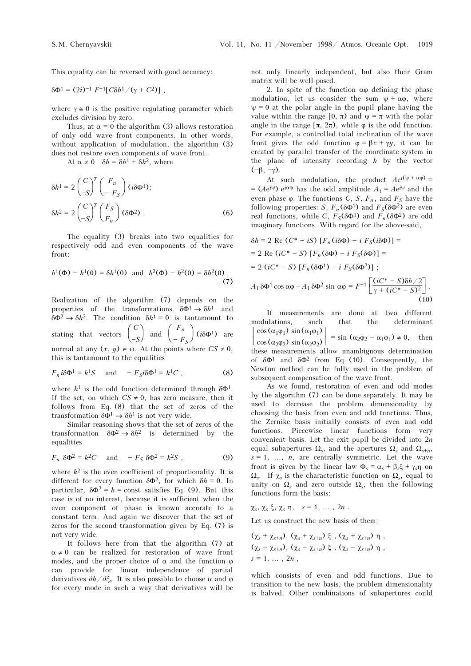This equality can be reversed with good accuracy:

 $\delta \Phi^1 = (2i)^{-1} F^{-1} [C \delta h^1 / (\gamma + C^2)]$ ,

where  $\gamma \approx 0$  is the positive regulating parameter which excludes division by zero.

Thus, at  $\alpha = 0$  the algorithm (3) allows restoration of only odd wave front components. In other words, without application of modulation, the algorithm (3) does not restore even components of wave front.

At  $\alpha \neq 0$   $\delta h = \delta h^1 + \delta h^2$ , where

$$
\delta h^1 = 2 \begin{pmatrix} C \\ -S \end{pmatrix}^T \begin{pmatrix} F_n \\ -F_S \end{pmatrix} (i\delta \Phi^1);
$$
  

$$
\delta h^2 = 2 \begin{pmatrix} C \\ -S \end{pmatrix}^T \begin{pmatrix} F_S \\ F_n \end{pmatrix} (\delta \Phi^2) .
$$
 (6)

The equality (3) breaks into two equalities for respectively odd and even components of the wave front:

$$
h^{1}(\Phi) - h^{1}(0) = \delta h^{1}(0) \text{ and } h^{2}(\Phi) - h^{2}(0) = \delta h^{2}(0).
$$
\n(7)

Realization of the algorithm (7) depends on the properties of the transformations  $\delta \Phi^1 \rightarrow \delta h^1$  and  $\delta \Phi^2 \rightarrow \delta h^2$ . The condition  $\delta h^1 = 0$  is tantamount to  $\delta \Phi^2 \to \delta h^2$ . The condition  $\delta h^1 = 0$  is tantamount to stating that vectors  $\begin{pmatrix} C \\ -S \end{pmatrix}$  $\begin{pmatrix} C \\ -S \end{pmatrix}$  and  $\begin{pmatrix} F_n \\ -F_S \end{pmatrix}$  $-\frac{r}{F_S}$  (iδ $\Phi$ <sup>1</sup>) are normal at any  $(x, y) \in \omega$ . At the points where  $CS \neq 0$ , this is tantamount to the equalities

$$
F_n i\delta \Phi^1 = k^1 S \quad \text{and} \quad -F_S i\delta \Phi^1 = k^1 C \tag{8}
$$

where  $k<sup>1</sup>$  is the odd function determined through  $\delta \Phi$ <sup>1</sup>. If the set, on which  $CS \neq 0$ , has zero measure, then it follows from Eq. (8) that the set of zeros of the transformation  $\delta \Phi^1 \rightarrow \delta h^1$  is not very wide.

Similar reasoning shows that the set of zeros of the transformation  $\delta \Phi^2 \to \delta h^2$  is determined by the equalities

$$
F_n \ \delta \Phi^2 = k^2 C \quad \text{and} \quad -F_S \ \delta \Phi^2 = k^2 S \ , \tag{9}
$$

where  $k^2$  is the even coefficient of proportionality. It is different for every function  $\delta \Phi^2$ , for which  $\delta h = 0$ . In particular,  $\delta \Phi^2 = k = \text{const}$  satisfies Eq. (9). But this case is of no interest, because it is sufficient when the even component of phase is known accurate to a constant term. And again we discover that the set of zeros for the second transformation given by Eq. (7) is not very wide.

It follows here from that the algorithm (7) at  $\alpha \neq 0$  can be realized for restoration of wave front modes, and the proper choice of  $\alpha$  and the function  $\varphi$ can provide for linear independence of partial derivatives  $\partial h/\partial \xi_s$ . It is also possible to choose  $\alpha$  and  $\varphi$ for every mode in such a way that derivatives will be not only linearly independent, but also their Gram matrix will be well-posed.

2. In spite of the function  $\alpha\varphi$  defining the phase modulation, let us consider the sum  $\psi + \alpha \varphi$ , where  $\psi = 0$  at the polar angle in the pupil plane having the value within the range  $[0, \pi)$  and  $\psi = \pi$  with the polar angle in the range  $[\pi, 2\pi)$ , while  $\varphi$  is the odd function. For example, a controlled total inclination of the wave front gives the odd function  $\varphi = \beta x + \gamma y$ , it can be created by parallel transfer of the coordinate system in the plane of intensity recording  $h$  by the vector  $(-\beta, -\gamma)$ .

At such modulation, the product  $Ae^{i(\psi + \alpha\varphi)} =$  $= (Ae^{i\psi}) e^{i\alpha\varphi}$  has the odd amplitude  $A_1 = Ae^{i\psi}$  and the even phase  $\varphi$ . The functions C, S,  $F_n$ , and  $F_S$  have the following properties: S,  $F_n$ (δΦ<sup>1</sup>) and  $F_S$ (δΦ<sup>2</sup>) are even real functions, while C,  $F_S(\delta \Phi^1)$  and  $F_n(\delta \Phi^2)$  are odd imaginary functions. With regard for the above-said,

$$
\delta h = 2 \text{ Re } (C^* + iS) [F_n(i\delta\Phi) - i F_S(i\delta\Phi)] =
$$
  
= 2 \text{ Re } (iC^\* - S) [F\_n(\delta\Phi) - i F\_S(\delta\Phi)] =  
= 2 (iC^\* - S) [F\_n(\delta\Phi^1) - i F\_S(\delta\Phi^2)] ;  

$$
A_1 \delta\Phi^1 \cos \alpha\phi - A_1 \delta\Phi^2 \sin \alpha\phi = F^{-1} \left[ \frac{(iC^* - S)\delta h/2}{\gamma + (iC^* - S)^2} \right].
$$
  
(10)

If measurements are done at two different modulations, such that the determinant  $\begin{vmatrix} \cos(\alpha_1\varphi_1) \sin(\alpha_2\varphi_2) \\ \cos(\alpha_2\varphi_2) \sin(\alpha_2\varphi_2) \end{vmatrix} = \sin(\alpha_2\varphi_2 - \alpha_1\varphi_1) \neq 0$ , then these measurements allow unambiguous determination of  $\delta\Phi^1$  and  $\delta\Phi^2$  from Eq. (10). Consequently, the Newton method can be fully used in the problem of subsequent compensation of the wave front.

As we found, restoration of even and odd modes by the algorithm (7) can be done separately. It may be used to decrease the problem dimensionality by choosing the basis from even and odd functions. Thus, the Zernike basis initially consists of even and odd functions. Piecewise linear functions form very convenient basis. Let the exit pupil be divided into  $2n$ equal subapertures  $\Omega_s$ , and the apertures  $\Omega_s$  and  $\Omega_{s+n}$ ,<br>s = 1 and a contrally symmetric. Let the wave  $s = 1, \ldots, n$ , are centrally symmetric. Let the wave front is given by the linear law  $\Phi_s = \alpha_s + \beta_s \xi + \gamma_s \eta$  on<br>O If  $\alpha$  is the characteristic function on O counl to  $\Omega_s$ . If  $\chi_s$  is the characteristic function on  $\Omega_s$ , equal to unity on  $\Omega_s$  and zero outside  $\Omega_s$  then the following unity on  $\Omega_s$  and zero outside  $\Omega_s$ , then the following functions form the basis: functions form the basis:

 $\chi_s$ ,  $\chi_s$  ξ,  $\chi_s$  η,  $s = 1, \ldots, 2n$ .

Let us construct the new basis of them:

$$
(\chi_s + \chi_{s+n}), (\chi_s + \chi_{s+n}) \xi, (\chi_s + \chi_{s+n}) \eta,
$$
  

$$
(\chi_s - \chi_{s+n}), (\chi_s - \chi_{s+n}) \xi, (\chi_s - \chi_{s+n}) \eta,
$$
  

$$
s = 1, ..., 2n,
$$

which consists of even and odd functions. Due to transition to the new basis, the problem dimensionality is halved. Other combinations of subapertures could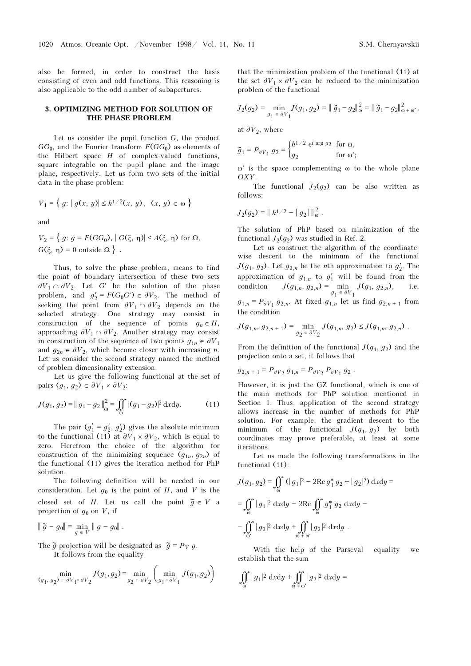also be formed, in order to construct the basis consisting of even and odd functions. This reasoning is also applicable to the odd number of subapertures.

### 3. OPTIMIZING METHOD FOR SOLUTION OF THE PHASE PROBLEM

Let us consider the pupil function  $G$ , the product  $GG<sub>0</sub>$ , and the Fourier transform  $F(GG<sub>0</sub>)$  as elements of the Hilbert space  $H$  of complex-valued functions, square integrable on the pupil plane and the image plane, respectively. Let us form two sets of the initial data in the phase problem:

$$
V_1 = \{ g: |g(x, y)| \le h^{1/2}(x, y), (x, y) \in \omega \}
$$

and

$$
V_2 = \{ g: g = F(GG_0), | G(\xi, \eta) | \le A(\xi, \eta) \text{ for } \Omega, \\ G(\xi, \eta) = 0 \text{ outside } \Omega \}.
$$

Thus, to solve the phase problem, means to find the point of boundary intersection of these two sets  $\partial V_1 \cap \partial V_2$ . Let G' be the solution of the phase problem, and  $g'_2 = F(G_0G') \in \partial V_2$ . The method of seeking the point from  $\partial V_1 \cap \partial V_2$  depends on the seeking the point from  $\partial V_1 \cap \partial V_2$  depends on the selected strategy. One strategy may consist in construction of the sequence of points  $g_n \in H$ , approaching  $\partial V_1 \cap \partial V_2$ . Another strategy may consist in construction of the sequence of two points  $g_{1n} \in \partial V_1$ and  $g_{2n} \in \partial V_2$ , which become closer with increasing *n*. Let us consider the second strategy named the method of problem dimensionality extension.

Let us give the following functional at the set of pairs  $(q_1, q_2) \in \partial V_1 \times \partial V_2$ :

$$
J(g_1, g_2) = ||g_1 - g_2||_{\omega}^2 = \iint_{\omega} |(g_1 - g_2)|^2 dx dy.
$$
 (11)

The pair  $(g'_1 = g'_2, g'_2)$  gives the absolute minimum<br>o functional (11) at  $\partial V_1 \times \partial V_2$ , which is count to to the functional (11) at  $\partial V_1 \times \partial V_2$ , which is equal to zero. Herefrom the choice of the algorithm for construction of the minimizing sequence  $(q_{1n}, q_{2n})$  of the functional (11) gives the iteration method for PhP solution.

The following definition will be needed in our consideration. Let  $q_0$  is the point of H, and V is the closed set of H. Let us call the point  $\tilde{g} \in V$  a projection of  $g_0$  on V, if

$$
\|\widetilde{g} - g_0\| = \min_{g \in V} \|g - g_0\|.
$$

The  $\tilde{g}$  projection will be designated as  $\tilde{g} = P_V g$ .<br>
It follows from the equality It follows from the equality

$$
\min_{(g_1, g_2) \in \partial V_1 \times \partial V_2} J(g_1, g_2) = \min_{g_2 \in \partial V_2} \left( \min_{g_1 \in \partial V_1} J(g_1, g_2) \right)
$$

that the minimization problem of the functional (11) at the set  $\partial V_1 \times \partial V_2$  can be reduced to the minimization problem of the functional

$$
J_2(g_2) = \min_{g_1 \in \partial V_1} J(g_1, g_2) = ||\widetilde{g}_1 - g_2||_{\omega}^2 = ||\widetilde{g}_1 - g_2||_{\omega + \omega'}^2,
$$

at  $\partial V_2$ , where

$$
\widetilde{g}_1 = P_{\partial V_1} g_2 = \begin{cases} h^{1/2} \text{ e}^{i \arg g_2} & \text{for } \omega, \\ g_2 & \text{for } \omega'; \end{cases}
$$

ω′ is the space complementing ω to the whole plane OXY.

The functional  $J_2(q_2)$  can be also written as follows:

$$
J_2(g_2) = ||h^{1/2} - |g_2||_{\omega}^2.
$$

The solution of PhP based on minimization of the functional  $J_2(q_2)$  was studied in Ref. 2.

Let us construct the algorithm of the coordinatewise descent to the minimum of the functional  $J(g_1, g_2)$ . Let  $g_{2,n}$  be the *n*th approximation to  $g'_2$ . The approximation of  $g_{1,n}$  to  $g'_1$  will be found from the condition  $I(g_1, g_2) = \min_{\mathbf{a}} I(g_1, g_2)$  i.e. condition  $J(g_{1,n}, g_{2,n}) = \min_{g_1 \in \partial V_1} J(g_1, g_{2,n}),$  i.e.<br> $g_{1,n} = P_{\text{max}} g_2$ , At fixed  $g_{1,n}$  let us find  $g_{2,n}$ , from  $g_{1,n} = P_{\partial V_1} g_{2,n}$ . At fixed  $g_{1,n}$  let us find  $g_{2,n+1}$  from the condition

$$
J(g_{1,n}, g_{2,n+1}) = \min_{g_2 \in \partial V_2} J(g_{1,n}, g_2) \le J(g_{1,n}, g_{2,n}).
$$

From the definition of the functional  $J(g_1, g_2)$  and the projection onto a set, it follows that

$$
g_{2,n+1} = P_{\partial V_2} g_{1,n} = P_{\partial V_2} P_{\partial V_1} g_2.
$$

However, it is just the GZ functional, which is one of the main methods for PhP solution mentioned in Section 1. Thus, application of the second strategy allows increase in the number of methods for PhP solution. For example, the gradient descent to the minimum of the functional  $J(g_1, g_2)$  by both coordinates may prove preferable, at least at some iterations.

Let us made the following transformations in the functional (11):

$$
J(g_1, g_2) = \iint_{\omega} (|g_1|^2 - 2\operatorname{Re} g_1^* g_2 + |g_2|^2) \, dxdy =
$$
  
= 
$$
\iint_{\omega} |g_1|^2 \, dxdy - 2\operatorname{Re} \iint_{\omega} g_1^* g_2 \, dxdy -
$$
  

$$
-\iint_{\omega'} |g_2|^2 \, dxdy + \iint_{\omega + \omega'} |g_2|^2 \, dxdy.
$$

With the help of the Parseval equality we establish that the sum

$$
\iint\limits_{\omega}|g_1|^2\;\mathrm{d}x\mathrm{d}y+\iint\limits_{\omega+\omega'}|g_2|^2\;\mathrm{d}x\mathrm{d}y=
$$